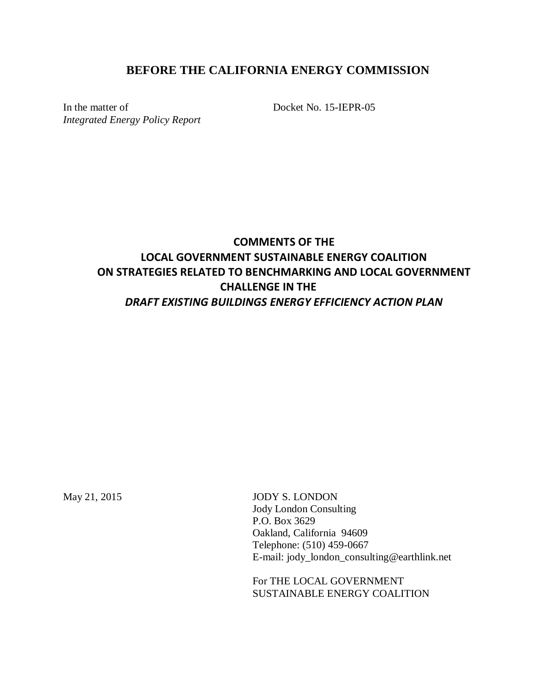# **BEFORE THE CALIFORNIA ENERGY COMMISSION**

In the matter of *Integrated Energy Policy Report* Docket No. 15-IEPR-05

# **COMMENTS OF THE LOCAL GOVERNMENT SUSTAINABLE ENERGY COALITION ON STRATEGIES RELATED TO BENCHMARKING AND LOCAL GOVERNMENT CHALLENGE IN THE**  *DRAFT EXISTING BUILDINGS ENERGY EFFICIENCY ACTION PLAN*

May 21, 2015 JODY S. LONDON Jody London Consulting P.O. Box 3629 Oakland, California 94609 Telephone: (510) 459-0667 E-mail: jody\_london\_consulting@earthlink.net

> For THE LOCAL GOVERNMENT SUSTAINABLE ENERGY COALITION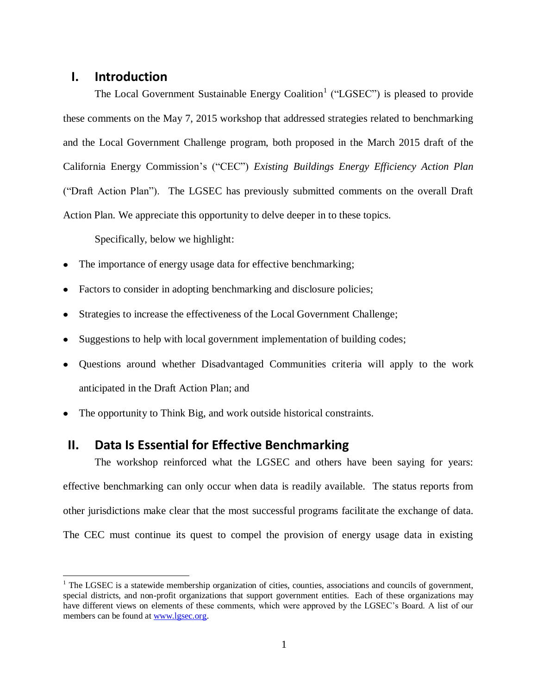#### **I. Introduction**

 $\overline{a}$ 

The Local Government Sustainable Energy Coalition<sup>1</sup> ("LGSEC") is pleased to provide these comments on the May 7, 2015 workshop that addressed strategies related to benchmarking and the Local Government Challenge program, both proposed in the March 2015 draft of the California Energy Commission's ("CEC") *Existing Buildings Energy Efficiency Action Plan* ("Draft Action Plan"). The LGSEC has previously submitted comments on the overall Draft Action Plan. We appreciate this opportunity to delve deeper in to these topics.

Specifically, below we highlight:

- The importance of energy usage data for effective benchmarking;
- Factors to consider in adopting benchmarking and disclosure policies;
- Strategies to increase the effectiveness of the Local Government Challenge;
- Suggestions to help with local government implementation of building codes;
- Questions around whether Disadvantaged Communities criteria will apply to the work anticipated in the Draft Action Plan; and
- The opportunity to Think Big, and work outside historical constraints.

## **II. Data Is Essential for Effective Benchmarking**

The workshop reinforced what the LGSEC and others have been saying for years: effective benchmarking can only occur when data is readily available. The status reports from other jurisdictions make clear that the most successful programs facilitate the exchange of data. The CEC must continue its quest to compel the provision of energy usage data in existing

 $1$  The LGSEC is a statewide membership organization of cities, counties, associations and councils of government, special districts, and non-profit organizations that support government entities. Each of these organizations may have different views on elements of these comments, which were approved by the LGSEC's Board. A list of our members can be found at [www.lgsec.org.](http://www.lgsec.org/)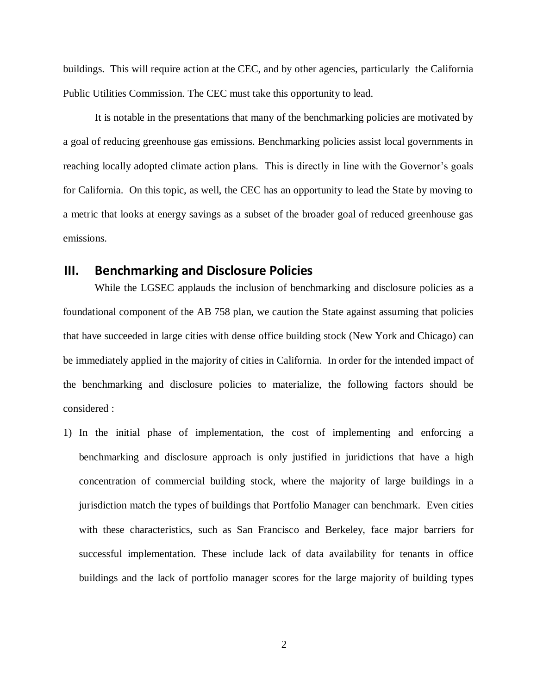buildings. This will require action at the CEC, and by other agencies, particularly the California Public Utilities Commission. The CEC must take this opportunity to lead.

It is notable in the presentations that many of the benchmarking policies are motivated by a goal of reducing greenhouse gas emissions. Benchmarking policies assist local governments in reaching locally adopted climate action plans. This is directly in line with the Governor's goals for California. On this topic, as well, the CEC has an opportunity to lead the State by moving to a metric that looks at energy savings as a subset of the broader goal of reduced greenhouse gas emissions.

## **III. Benchmarking and Disclosure Policies**

While the LGSEC applauds the inclusion of benchmarking and disclosure policies as a foundational component of the AB 758 plan, we caution the State against assuming that policies that have succeeded in large cities with dense office building stock (New York and Chicago) can be immediately applied in the majority of cities in California. In order for the intended impact of the benchmarking and disclosure policies to materialize, the following factors should be considered :

1) In the initial phase of implementation, the cost of implementing and enforcing a benchmarking and disclosure approach is only justified in juridictions that have a high concentration of commercial building stock, where the majority of large buildings in a jurisdiction match the types of buildings that Portfolio Manager can benchmark. Even cities with these characteristics, such as San Francisco and Berkeley, face major barriers for successful implementation. These include lack of data availability for tenants in office buildings and the lack of portfolio manager scores for the large majority of building types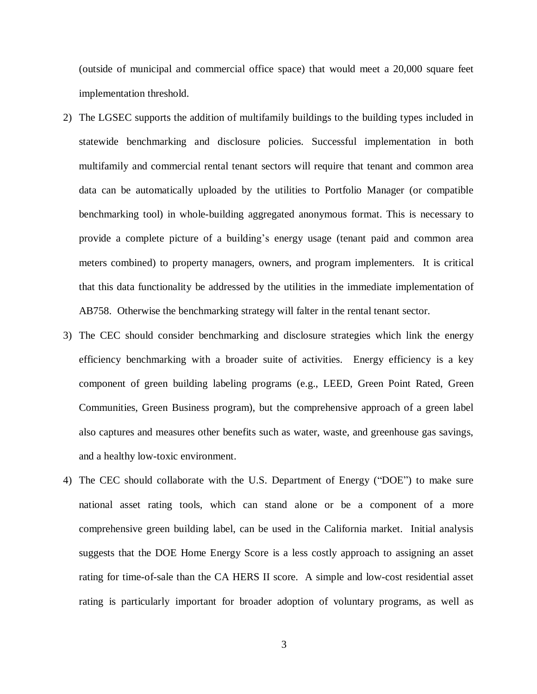(outside of municipal and commercial office space) that would meet a 20,000 square feet implementation threshold.

- 2) The LGSEC supports the addition of multifamily buildings to the building types included in statewide benchmarking and disclosure policies. Successful implementation in both multifamily and commercial rental tenant sectors will require that tenant and common area data can be automatically uploaded by the utilities to Portfolio Manager (or compatible benchmarking tool) in whole-building aggregated anonymous format. This is necessary to provide a complete picture of a building's energy usage (tenant paid and common area meters combined) to property managers, owners, and program implementers. It is critical that this data functionality be addressed by the utilities in the immediate implementation of AB758. Otherwise the benchmarking strategy will falter in the rental tenant sector.
- 3) The CEC should consider benchmarking and disclosure strategies which link the energy efficiency benchmarking with a broader suite of activities. Energy efficiency is a key component of green building labeling programs (e.g., LEED, Green Point Rated, Green Communities, Green Business program), but the comprehensive approach of a green label also captures and measures other benefits such as water, waste, and greenhouse gas savings, and a healthy low-toxic environment.
- 4) The CEC should collaborate with the U.S. Department of Energy ("DOE") to make sure national asset rating tools, which can stand alone or be a component of a more comprehensive green building label, can be used in the California market. Initial analysis suggests that the DOE Home Energy Score is a less costly approach to assigning an asset rating for time-of-sale than the CA HERS II score. A simple and low-cost residential asset rating is particularly important for broader adoption of voluntary programs, as well as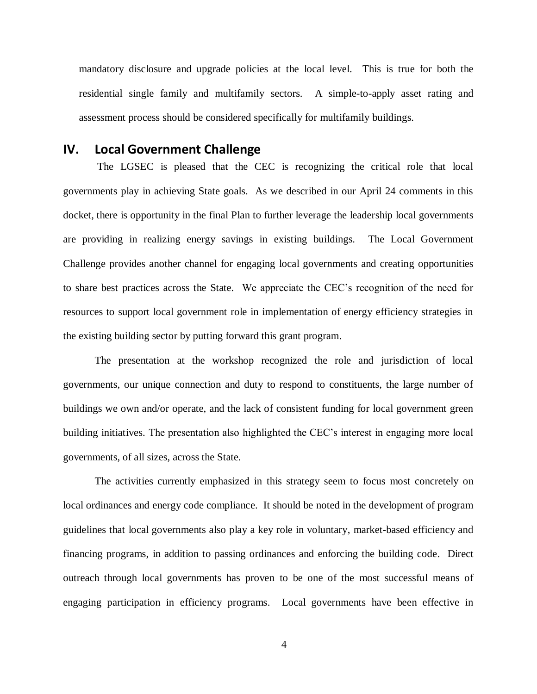mandatory disclosure and upgrade policies at the local level. This is true for both the residential single family and multifamily sectors. A simple-to-apply asset rating and assessment process should be considered specifically for multifamily buildings.

## **IV. Local Government Challenge**

The LGSEC is pleased that the CEC is recognizing the critical role that local governments play in achieving State goals. As we described in our April 24 comments in this docket, there is opportunity in the final Plan to further leverage the leadership local governments are providing in realizing energy savings in existing buildings. The Local Government Challenge provides another channel for engaging local governments and creating opportunities to share best practices across the State. We appreciate the CEC's recognition of the need for resources to support local government role in implementation of energy efficiency strategies in the existing building sector by putting forward this grant program.

The presentation at the workshop recognized the role and jurisdiction of local governments, our unique connection and duty to respond to constituents, the large number of buildings we own and/or operate, and the lack of consistent funding for local government green building initiatives. The presentation also highlighted the CEC's interest in engaging more local governments, of all sizes, across the State.

The activities currently emphasized in this strategy seem to focus most concretely on local ordinances and energy code compliance. It should be noted in the development of program guidelines that local governments also play a key role in voluntary, market-based efficiency and financing programs, in addition to passing ordinances and enforcing the building code. Direct outreach through local governments has proven to be one of the most successful means of engaging participation in efficiency programs. Local governments have been effective in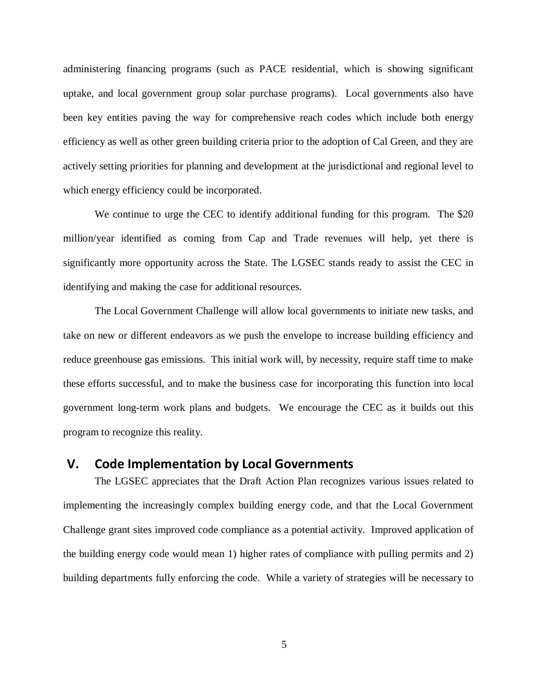administering financing programs (such as PACE residential, which is showing significant uptake, and local government group solar purchase programs). Local governments also have been key entities paving the way for comprehensive reach codes which include both energy efficiency as well as other green building criteria prior to the adoption of Cal Green, and they are actively setting priorities for planning and development at the jurisdictional and regional level to which energy efficiency could be incorporated.

We continue to urge the CEC to identify additional funding for this program. The \$20 million/year identified as coming from Cap and Trade revenues will help, yet there is significantly more opportunity across the State. The LGSEC stands ready to assist the CEC in identifying and making the case for additional resources.

The Local Government Challenge will allow local governments to initiate new tasks, and take on new or different endeavors as we push the envelope to increase building efficiency and reduce greenhouse gas emissions. This initial work will, by necessity, require staff time to make these efforts successful, and to make the business case for incorporating this function into local government long-term work plans and budgets. We encourage the CEC as it builds out this program to recognize this reality.

### **V. Code Implementation by Local Governments**

The LGSEC appreciates that the Draft Action Plan recognizes various issues related to implementing the increasingly complex building energy code, and that the Local Government Challenge grant sites improved code compliance as a potential activity. Improved application of the building energy code would mean 1) higher rates of compliance with pulling permits and 2) building departments fully enforcing the code. While a variety of strategies will be necessary to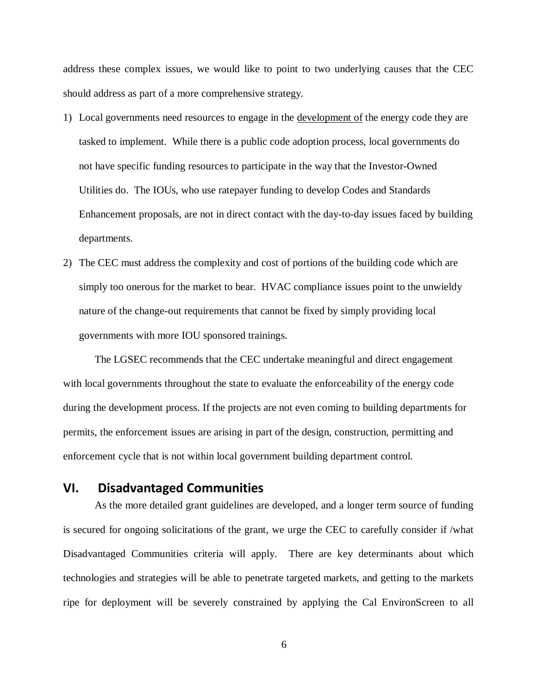address these complex issues, we would like to point to two underlying causes that the CEC should address as part of a more comprehensive strategy.

- 1) Local governments need resources to engage in the development of the energy code they are tasked to implement. While there is a public code adoption process, local governments do not have specific funding resources to participate in the way that the Investor-Owned Utilities do. The IOUs, who use ratepayer funding to develop Codes and Standards Enhancement proposals, are not in direct contact with the day-to-day issues faced by building departments.
- 2) The CEC must address the complexity and cost of portions of the building code which are simply too onerous for the market to bear. HVAC compliance issues point to the unwieldy nature of the change-out requirements that cannot be fixed by simply providing local governments with more IOU sponsored trainings.

The LGSEC recommends that the CEC undertake meaningful and direct engagement with local governments throughout the state to evaluate the enforceability of the energy code during the development process. If the projects are not even coming to building departments for permits, the enforcement issues are arising in part of the design, construction, permitting and enforcement cycle that is not within local government building department control.

# **VI. Disadvantaged Communities**

As the more detailed grant guidelines are developed, and a longer term source of funding is secured for ongoing solicitations of the grant, we urge the CEC to carefully consider if /what Disadvantaged Communities criteria will apply. There are key determinants about which technologies and strategies will be able to penetrate targeted markets, and getting to the markets ripe for deployment will be severely constrained by applying the Cal EnvironScreen to all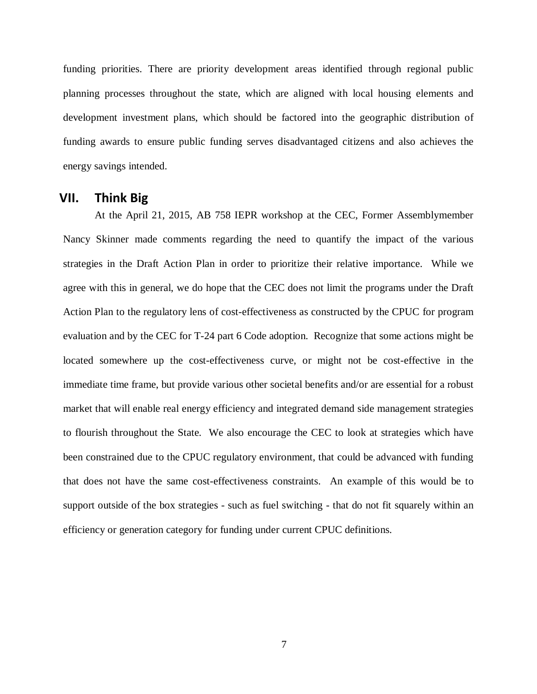funding priorities. There are priority development areas identified through regional public planning processes throughout the state, which are aligned with local housing elements and development investment plans, which should be factored into the geographic distribution of funding awards to ensure public funding serves disadvantaged citizens and also achieves the energy savings intended.

#### **VII. Think Big**

At the April 21, 2015, AB 758 IEPR workshop at the CEC, Former Assemblymember Nancy Skinner made comments regarding the need to quantify the impact of the various strategies in the Draft Action Plan in order to prioritize their relative importance. While we agree with this in general, we do hope that the CEC does not limit the programs under the Draft Action Plan to the regulatory lens of cost-effectiveness as constructed by the CPUC for program evaluation and by the CEC for T-24 part 6 Code adoption. Recognize that some actions might be located somewhere up the cost-effectiveness curve, or might not be cost-effective in the immediate time frame, but provide various other societal benefits and/or are essential for a robust market that will enable real energy efficiency and integrated demand side management strategies to flourish throughout the State. We also encourage the CEC to look at strategies which have been constrained due to the CPUC regulatory environment, that could be advanced with funding that does not have the same cost-effectiveness constraints. An example of this would be to support outside of the box strategies - such as fuel switching - that do not fit squarely within an efficiency or generation category for funding under current CPUC definitions.